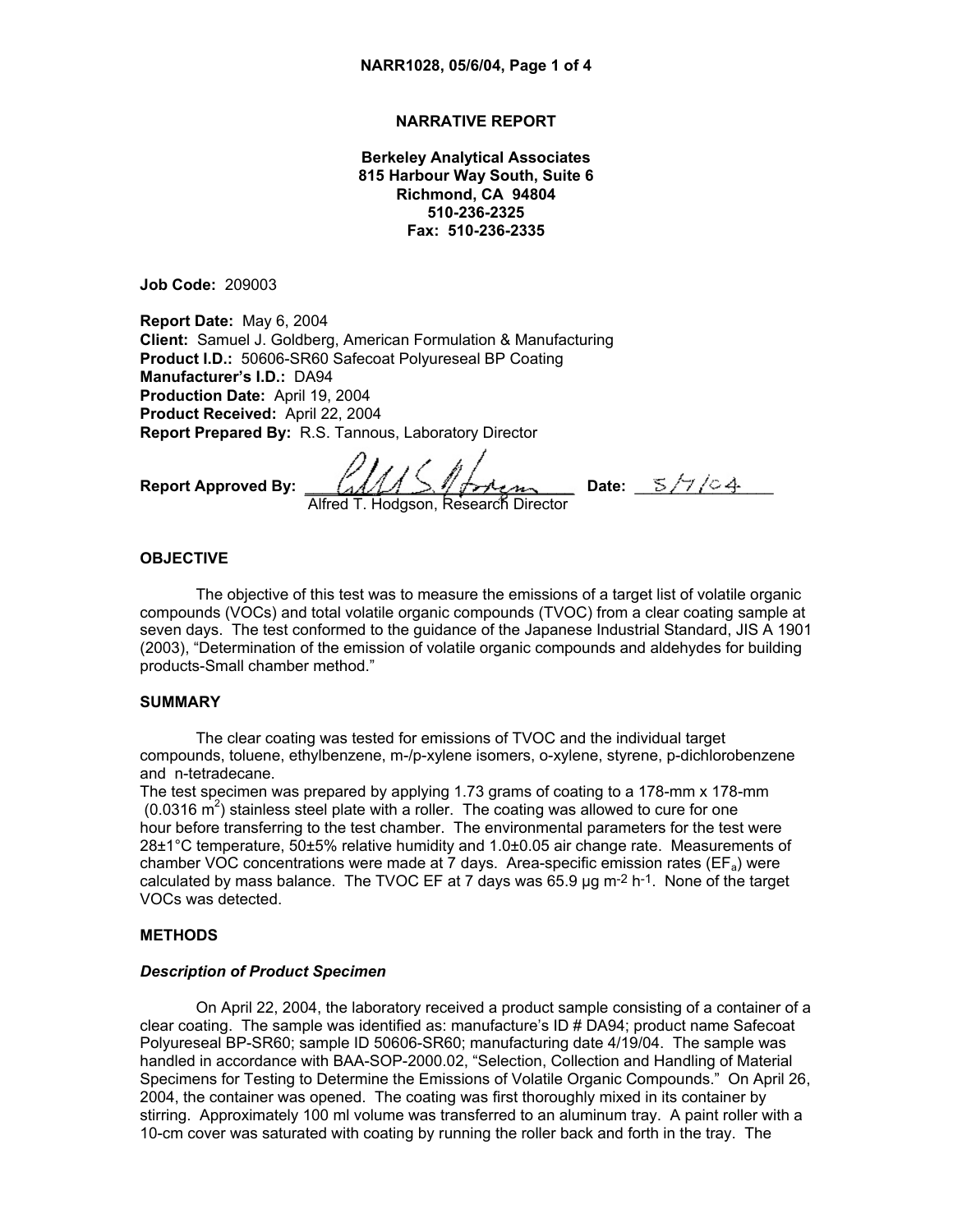# **NARRATIVE REPORT**

**Berkeley Analytical Associates 815 Harbour Way South, Suite 6 Richmond, CA 94804 510-236-2325 Fax: 510-236-2335** 

**Job Code:** 209003

**Report Date:** May 6, 2004 **Client:** Samuel J. Goldberg, American Formulation & Manufacturing **Product I.D.:** 50606-SR60 Safecoat Polyureseal BP Coating **Manufacturer's I.D.:** DA94 **Production Date:** April 19, 2004 **Product Received:** April 22, 2004 **Report Prepared By:** R.S. Tannous, Laboratory Director

**Report Approved By:**  $\left(\frac{1}{4} \right)$   $\left(\frac{1}{4} \right)$   $\left(\frac{1}{4} \right)$   $\left(\frac{1}{4} \right)$   $\left(\frac{1}{4} \right)$   $\left(\frac{1}{4} \right)$ 

Alfred T. Hodgson, Research Director

## **OBJECTIVE**

The objective of this test was to measure the emissions of a target list of volatile organic compounds (VOCs) and total volatile organic compounds (TVOC) from a clear coating sample at seven days. The test conformed to the guidance of the Japanese Industrial Standard, JIS A 1901 (2003), "Determination of the emission of volatile organic compounds and aldehydes for building products-Small chamber method."

## **SUMMARY**

The clear coating was tested for emissions of TVOC and the individual target compounds, toluene, ethylbenzene, m-/p-xylene isomers, o-xylene, styrene, p-dichlorobenzene and n-tetradecane.

The test specimen was prepared by applying 1.73 grams of coating to a 178-mm x 178-mm  $(0.0316 \text{ m}^2)$  stainless steel plate with a roller. The coating was allowed to cure for one hour before transferring to the test chamber. The environmental parameters for the test were 28±1°C temperature, 50±5% relative humidity and 1.0±0.05 air change rate. Measurements of chamber VOC concentrations were made at  $\overline{7}$  days. Area-specific emission rates (EF<sub>a</sub>) were calculated by mass balance. The TVOC EF at 7 days was 65.9  $\mu$ g m-2 h-1. None of the target VOCs was detected.

## **METHODS**

#### *Description of Product Specimen*

On April 22, 2004, the laboratory received a product sample consisting of a container of a clear coating. The sample was identified as: manufacture's ID # DA94; product name Safecoat Polyureseal BP-SR60; sample ID 50606-SR60; manufacturing date 4/19/04. The sample was handled in accordance with BAA-SOP-2000.02, "Selection, Collection and Handling of Material Specimens for Testing to Determine the Emissions of Volatile Organic Compounds." On April 26, 2004, the container was opened. The coating was first thoroughly mixed in its container by stirring. Approximately 100 ml volume was transferred to an aluminum tray. A paint roller with a 10-cm cover was saturated with coating by running the roller back and forth in the tray. The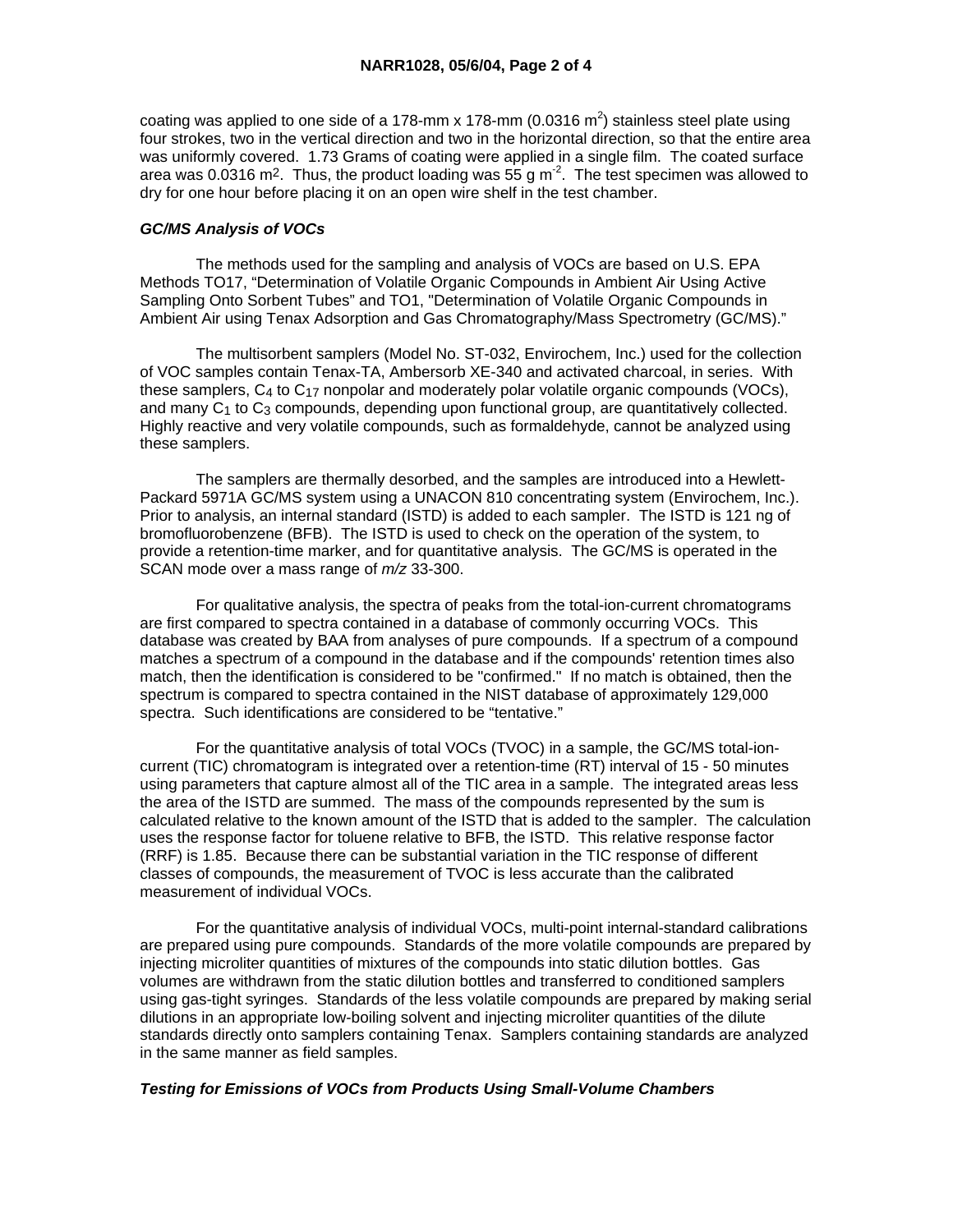coating was applied to one side of a 178-mm x 178-mm (0.0316 m<sup>2</sup>) stainless steel plate using four strokes, two in the vertical direction and two in the horizontal direction, so that the entire area was uniformly covered. 1.73 Grams of coating were applied in a single film. The coated surface area was 0.0316 m<sup>2</sup>. Thus, the product loading was 55 g m<sup>-2</sup>. The test specimen was allowed to dry for one hour before placing it on an open wire shelf in the test chamber.

## *GC/MS Analysis of VOCs*

 The methods used for the sampling and analysis of VOCs are based on U.S. EPA Methods TO17, "Determination of Volatile Organic Compounds in Ambient Air Using Active Sampling Onto Sorbent Tubes" and TO1, "Determination of Volatile Organic Compounds in Ambient Air using Tenax Adsorption and Gas Chromatography/Mass Spectrometry (GC/MS)."

 The multisorbent samplers (Model No. ST-032, Envirochem, Inc.) used for the collection of VOC samples contain Tenax-TA, Ambersorb XE-340 and activated charcoal, in series. With these samplers,  $C_4$  to  $C_{17}$  nonpolar and moderately polar volatile organic compounds (VOCs), and many C<sub>1</sub> to C<sub>3</sub> compounds, depending upon functional group, are quantitatively collected. Highly reactive and very volatile compounds, such as formaldehyde, cannot be analyzed using these samplers.

 The samplers are thermally desorbed, and the samples are introduced into a Hewlett-Packard 5971A GC/MS system using a UNACON 810 concentrating system (Envirochem, Inc.). Prior to analysis, an internal standard (ISTD) is added to each sampler. The ISTD is 121 ng of bromofluorobenzene (BFB). The ISTD is used to check on the operation of the system, to provide a retention-time marker, and for quantitative analysis. The GC/MS is operated in the SCAN mode over a mass range of *m/z* 33-300.

 For qualitative analysis, the spectra of peaks from the total-ion-current chromatograms are first compared to spectra contained in a database of commonly occurring VOCs. This database was created by BAA from analyses of pure compounds. If a spectrum of a compound matches a spectrum of a compound in the database and if the compounds' retention times also match, then the identification is considered to be "confirmed." If no match is obtained, then the spectrum is compared to spectra contained in the NIST database of approximately 129,000 spectra. Such identifications are considered to be "tentative."

 For the quantitative analysis of total VOCs (TVOC) in a sample, the GC/MS total-ioncurrent (TIC) chromatogram is integrated over a retention-time (RT) interval of 15 - 50 minutes using parameters that capture almost all of the TIC area in a sample. The integrated areas less the area of the ISTD are summed. The mass of the compounds represented by the sum is calculated relative to the known amount of the ISTD that is added to the sampler. The calculation uses the response factor for toluene relative to BFB, the ISTD. This relative response factor (RRF) is 1.85. Because there can be substantial variation in the TIC response of different classes of compounds, the measurement of TVOC is less accurate than the calibrated measurement of individual VOCs.

 For the quantitative analysis of individual VOCs, multi-point internal-standard calibrations are prepared using pure compounds. Standards of the more volatile compounds are prepared by injecting microliter quantities of mixtures of the compounds into static dilution bottles. Gas volumes are withdrawn from the static dilution bottles and transferred to conditioned samplers using gas-tight syringes. Standards of the less volatile compounds are prepared by making serial dilutions in an appropriate low-boiling solvent and injecting microliter quantities of the dilute standards directly onto samplers containing Tenax. Samplers containing standards are analyzed in the same manner as field samples.

# *Testing for Emissions of VOCs from Products Using Small-Volume Chambers*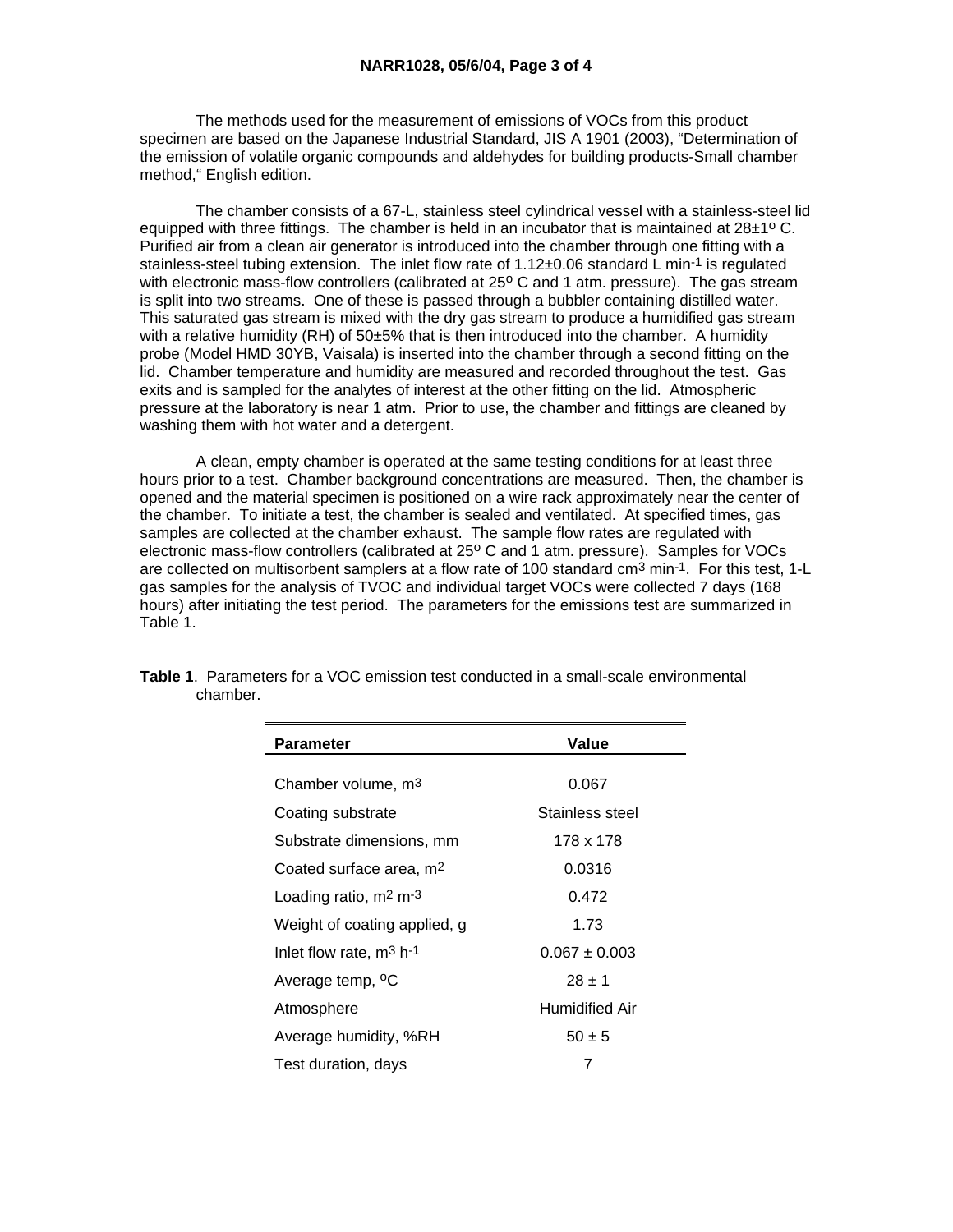The methods used for the measurement of emissions of VOCs from this product specimen are based on the Japanese Industrial Standard, JIS A 1901 (2003), "Determination of the emission of volatile organic compounds and aldehydes for building products-Small chamber method," English edition.

 The chamber consists of a 67-L, stainless steel cylindrical vessel with a stainless-steel lid equipped with three fittings. The chamber is held in an incubator that is maintained at  $28\pm10^{\circ}$  C. Purified air from a clean air generator is introduced into the chamber through one fitting with a stainless-steel tubing extension. The inlet flow rate of 1.12±0.06 standard L min<sup>-1</sup> is regulated with electronic mass-flow controllers (calibrated at 25° C and 1 atm. pressure). The gas stream is split into two streams. One of these is passed through a bubbler containing distilled water. This saturated gas stream is mixed with the dry gas stream to produce a humidified gas stream with a relative humidity (RH) of 50±5% that is then introduced into the chamber. A humidity probe (Model HMD 30YB, Vaisala) is inserted into the chamber through a second fitting on the lid. Chamber temperature and humidity are measured and recorded throughout the test. Gas exits and is sampled for the analytes of interest at the other fitting on the lid. Atmospheric pressure at the laboratory is near 1 atm. Prior to use, the chamber and fittings are cleaned by washing them with hot water and a detergent.

 A clean, empty chamber is operated at the same testing conditions for at least three hours prior to a test. Chamber background concentrations are measured. Then, the chamber is opened and the material specimen is positioned on a wire rack approximately near the center of the chamber. To initiate a test, the chamber is sealed and ventilated. At specified times, gas samples are collected at the chamber exhaust. The sample flow rates are regulated with electronic mass-flow controllers (calibrated at 25° C and 1 atm. pressure). Samples for VOCs are collected on multisorbent samplers at a flow rate of 100 standard cm<sup>3</sup> min-1. For this test, 1-L gas samples for the analysis of TVOC and individual target VOCs were collected 7 days (168 hours) after initiating the test period. The parameters for the emissions test are summarized in Table 1.

| <b>Parameter</b>                    | Value             |  |  |
|-------------------------------------|-------------------|--|--|
|                                     |                   |  |  |
| Chamber volume, m <sup>3</sup>      | 0.067             |  |  |
| Coating substrate                   | Stainless steel   |  |  |
| Substrate dimensions, mm            | 178 x 178         |  |  |
| Coated surface area, m <sup>2</sup> | 0.0316            |  |  |
| Loading ratio, $m2 m-3$             | 0.472             |  |  |
| Weight of coating applied, g        | 1.73              |  |  |
| Inlet flow rate, $m^3$ h-1          | $0.067 \pm 0.003$ |  |  |
| Average temp, <sup>o</sup> C        | $28 + 1$          |  |  |
| Atmosphere                          | Humidified Air    |  |  |
| Average humidity, %RH               | $50 \pm 5$        |  |  |
| Test duration, days                 | 7                 |  |  |

|          |  |  | <b>Table 1.</b> Parameters for a VOC emission test conducted in a small-scale environmental |
|----------|--|--|---------------------------------------------------------------------------------------------|
| chamber. |  |  |                                                                                             |